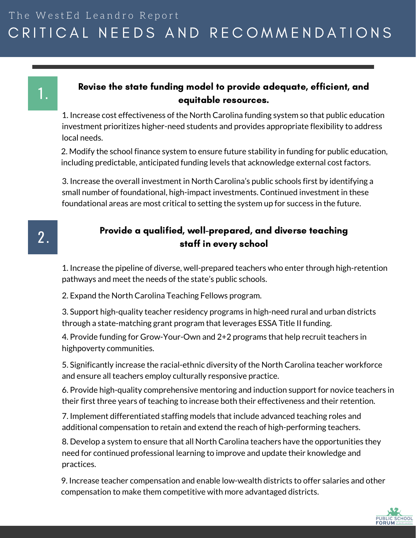#### CRITICAL NEEDS AND RECOMMENDATIONS  $r +$ The WestEd Leandro Report

# 1.

#### Revise the state funding model to provide adequate, efficient, and equitable resources.

1. Increase cost effectiveness of the North Carolina funding system so that public education investment prioritizes higher-need students and provides appropriate flexibility to address local needs.

2. Modify the school finance system to ensure future stability in funding for public education, including predictable, anticipated funding levels that acknowledge external cost factors.

3. Increase the overall investment in North Carolina's public schools first by identifying a small number of foundational, high-impact investments. Continued investment in these foundational areas are most critical to setting the system up for success in the future.

### 2 .

#### Provide a qualified, well-prepared, and diverse teaching staff in every school

1. Increase the pipeline of diverse, well-prepared teachers who enter through high-retention pathways and meet the needs of the state's public schools.

2. Expand the North Carolina Teaching Fellows program.

3. Support high-quality teacher residency programs in high-need rural and urban districts through a state-matching grant program that leverages ESSA Title II funding.

4. Provide funding for Grow-Your-Own and 2+2 programs that help recruit teachers in highpoverty communities.

5. Significantly increase the racial-ethnic diversity of the North Carolina teacher workforce and ensure all teachers employ culturally responsive practice.

6. Provide high-quality comprehensive mentoring and induction support for novice teachers in their first three years of teaching to increase both their effectiveness and their retention.

7. Implement differentiated staffing models that include advanced teaching roles and additional compensation to retain and extend the reach of high-performing teachers.

8. Develop a system to ensure that all North Carolina teachers have the opportunities they need for continued professional learning to improve and update their knowledge and practices.

9. Increase teacher compensation and enable low-wealth districts to offer salaries and other compensation to make them competitive with more advantaged districts.

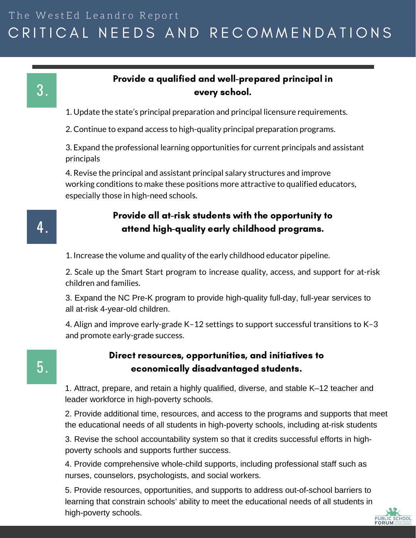#### CRITICAL NEEDS AND RECOMMENDATIONS  $r +$ The WestEd Leandro Report

### 3 .

#### Provide a qualified and well-prepared principal in every school.

- 1. Update the state's principal preparation and principal licensure requirements.
- 2. Continue to expand access to high-quality principal preparation programs.

3. Expand the professional learning opportunities for current principals and assistant principals

4. Revise the principal and assistant principal salary structures and improve working conditions to make these positions more attractive to qualified educators, especially those in high-need schools.

#### Provide all at-risk students with the opportunity to attend high-quality early childhood programs.

1. Increase the volume and quality of the early childhood educator pipeline.

2. Scale up the Smart Start program to increase quality, access, and support for at-risk children and families.

3. Expand the NC Pre-K program to provide high-quality full-day, full-year services to all at-risk 4-year-old children.

4. Align and improve early-grade K–12 settings to support successful transitions to K–3 and promote early-grade success.

## 5 .

4 .

#### Direct resources, opportunities, and initiatives to economically disadvantaged students.

1. Attract, prepare, and retain a highly qualified, diverse, and stable K–12 teacher and leader workforce in high-poverty schools.

2. Provide additional time, resources, and access to the programs and supports that meet the educational needs of all students in high-poverty schools, including at-risk students

3. Revise the school accountability system so that it credits successful efforts in highpoverty schools and supports further success.

4. Provide comprehensive whole-child supports, including professional staff such as nurses, counselors, psychologists, and social workers.

5. Provide resources, opportunities, and supports to address out-of-school barriers to learning that constrain schools' ability to meet the educational needs of all students in high-poverty schools.

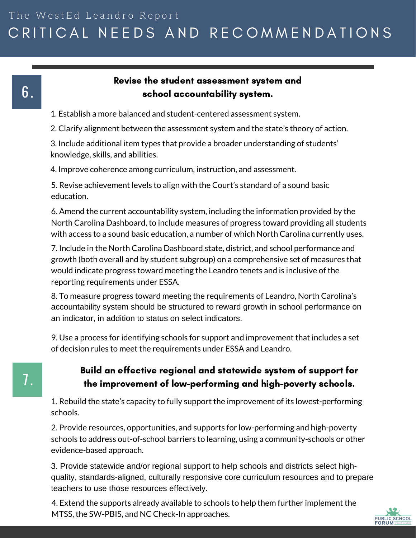#### CRITICAL NEEDS AND RECOMMENDATIONS  $r +$ The WestEd Leandro Report

#### Revise the student assessment system and school accountability system.

- 1. Establish a more balanced and student-centered assessment system.
- 2. Clarify alignment between the assessment system and the state's theory of action.

3. Include additional item types that provide a broader understanding of students' knowledge, skills, and abilities.

4. Improve coherence among curriculum, instruction, and assessment.

5. Revise achievement levels to align with the Court's standard of a sound basic education.

6. Amend the current accountability system, including the information provided by the North Carolina Dashboard, to include measures of progress toward providing all students with access to a sound basic education, a number of which North Carolina currently uses.

7. Include in the North Carolina Dashboard state, district, and school performance and growth (both overall and by student subgroup) on a comprehensive set of measures that would indicate progress toward meeting the Leandro tenets and is inclusive of the reporting requirements under ESSA.

8. To measure progress toward meeting the requirements of Leandro, North Carolina's accountability system should be structured to reward growth in school performance on an indicator, in addition to status on select indicators.

9. Use a process for identifying schools for support and improvement that includes a set of decision rules to meet the requirements under ESSA and Leandro.

#### Build an effective regional and statewide system of support for the improvement of low-performing and high-poverty schools.

1. Rebuild the state's capacity to fully support the improvement of its lowest-performing schools.

2. Provide resources, opportunities, and supports for low-performing and high-poverty schools to address out-of-school barriers to learning, using a community-schools or other evidence-based approach.

3. Provide statewide and/or regional support to help schools and districts select highquality, standards-aligned, culturally responsive core curriculum resources and to prepare teachers to use those resources effectively.

4. Extend the supports already available to schools to help them further implement the MTSS, the SW-PBIS, and NC Check-In approaches.

6 .